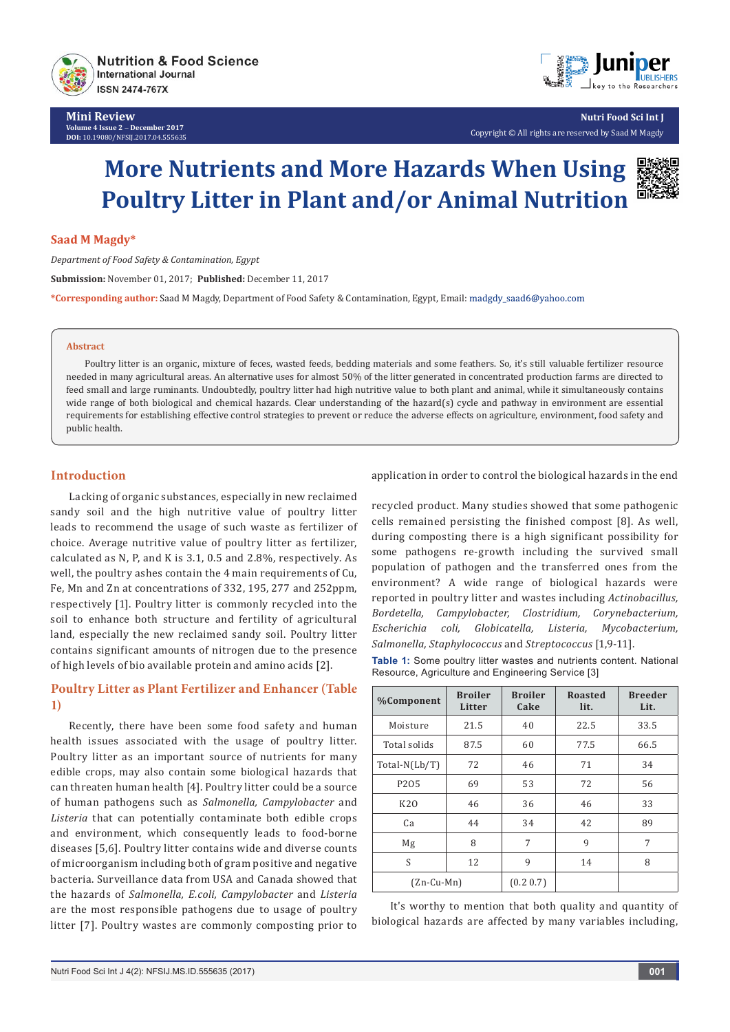



**Nutri Food Sci Int J** Copyright © All rights are reserved by Saad M Magdy

# **More Nutrients and More Hazards When Using Poultry Litter in Plant and/or Animal Nutrition**

#### **Saad M Magdy\***

*Department of Food Safety & Contamination, Egypt* **Submission:** November 01, 2017; **Published:** December 11, 2017 **\*Corresponding author:** Saad M Magdy, Department of Food Safety & Contamination, Egypt, Email:

#### **Abstract**

Poultry litter is an organic, mixture of feces, wasted feeds, bedding materials and some feathers. So, it's still valuable fertilizer resource needed in many agricultural areas. An alternative uses for almost 50% of the litter generated in concentrated production farms are directed to feed small and large ruminants. Undoubtedly, poultry litter had high nutritive value to both plant and animal, while it simultaneously contains wide range of both biological and chemical hazards. Clear understanding of the hazard(s) cycle and pathway in environment are essential requirements for establishing effective control strategies to prevent or reduce the adverse effects on agriculture, environment, food safety and public health.

## **Introduction**

Lacking of organic substances, especially in new reclaimed sandy soil and the high nutritive value of poultry litter leads to recommend the usage of such waste as fertilizer of choice. Average nutritive value of poultry litter as fertilizer, calculated as N, P, and K is 3.1, 0.5 and 2.8%, respectively. As well, the poultry ashes contain the 4 main requirements of Cu, Fe, Mn and Zn at concentrations of 332, 195, 277 and 252ppm, respectively [1]. Poultry litter is commonly recycled into the soil to enhance both structure and fertility of agricultural land, especially the new reclaimed sandy soil. Poultry litter contains significant amounts of nitrogen due to the presence of high levels of bio available protein and amino acids [2].

# **Poultry Litter as Plant Fertilizer and Enhancer (Table 1)**

Recently, there have been some food safety and human health issues associated with the usage of poultry litter. Poultry litter as an important source of nutrients for many edible crops, may also contain some biological hazards that can threaten human health [4]. Poultry litter could be a source of human pathogens such as *Salmonella, Campylobacter* and *Listeria* that can potentially contaminate both edible crops and environment, which consequently leads to food-borne diseases [5,6]. Poultry litter contains wide and diverse counts of microorganism including both of gram positive and negative bacteria. Surveillance data from USA and Canada showed that the hazards of *Salmonella, E.coli, Campylobacter* and *Listeria* are the most responsible pathogens due to usage of poultry litter [7]. Poultry wastes are commonly composting prior to

application in order to control the biological hazards in the end

recycled product. Many studies showed that some pathogenic cells remained persisting the finished compost [8]. As well, during composting there is a high significant possibility for some pathogens re-growth including the survived small population of pathogen and the transferred ones from the environment? A wide range of biological hazards were reported in poultry litter and wastes including *Actinobacillus, Bordetella, Campylobacter, Clostridium, Corynebacterium, Escherichia coli, Globicatella, Listeria, Mycobacterium, Salmonella, Staphylococcus* and *Streptococcus* [1,9-11].

**Table 1:** Some poultry litter wastes and nutrients content. National Resource, Agriculture and Engineering Service [3]

| <b>%Component</b> | <b>Broiler</b><br>Litter | <b>Broiler</b><br>Cake | <b>Roasted</b><br>lit. | <b>Breeder</b><br>Lit. |
|-------------------|--------------------------|------------------------|------------------------|------------------------|
| Moisture          | 21.5                     | 40                     | 22.5                   | 33.5                   |
| Total solids      | 87.5                     | 60                     | 77.5                   | 66.5                   |
| $Total-N(Lb/T)$   | 72                       | 46                     | 71                     | 34                     |
| P205              | 69                       | 53                     | 72                     | 56                     |
| <b>K20</b>        | 46                       | 36                     | 46                     | 33                     |
| Ca                | 44                       | 34                     | 42                     | 89                     |
| Mg                | 8                        | 7                      | 9                      | 7                      |
| S                 | 12                       | 9                      | 14                     | 8                      |
| $(Zn-Cu-Mn)$      |                          | (0.2 0.7)              |                        |                        |

It's worthy to mention that both quality and quantity of biological hazards are affected by many variables including,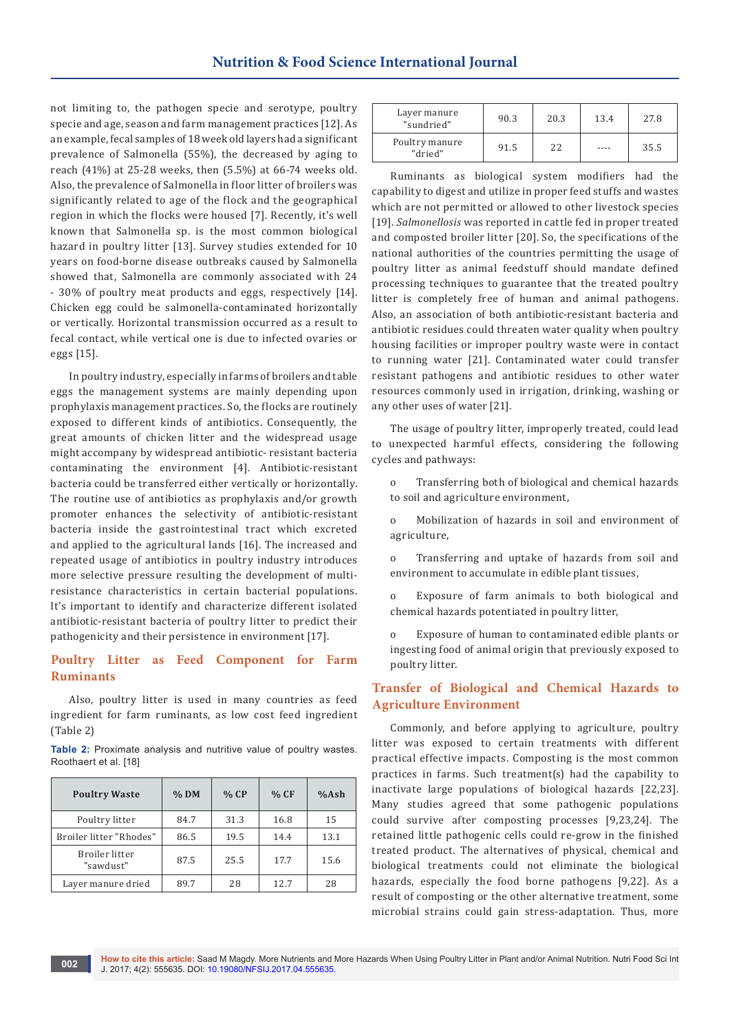not limiting to, the pathogen specie and serotype, poultry specie and age, season and farm management practices [12]. As an example, fecal samples of 18 week old layers had a significant prevalence of Salmonella (55%), the decreased by aging to reach (41%) at 25-28 weeks, then (5.5%) at 66-74 weeks old. Also, the prevalence of Salmonella in floor litter of broilers was significantly related to age of the flock and the geographical region in which the flocks were housed [7]. Recently, it's well known that Salmonella sp. is the most common biological hazard in poultry litter [13]. Survey studies extended for 10 years on food-borne disease outbreaks caused by Salmonella showed that, Salmonella are commonly associated with 24 - 30% of poultry meat products and eggs, respectively [14]. Chicken egg could be salmonella-contaminated horizontally or vertically. Horizontal transmission occurred as a result to fecal contact, while vertical one is due to infected ovaries or eggs [15].

In poultry industry, especially in farms of broilers and table eggs the management systems are mainly depending upon prophylaxis management practices. So, the flocks are routinely exposed to different kinds of antibiotics. Consequently, the great amounts of chicken litter and the widespread usage might accompany by widespread antibiotic- resistant bacteria contaminating the environment [4]. Antibiotic-resistant bacteria could be transferred either vertically or horizontally. The routine use of antibiotics as prophylaxis and/or growth promoter enhances the selectivity of antibiotic-resistant bacteria inside the gastrointestinal tract which excreted and applied to the agricultural lands [16]. The increased and repeated usage of antibiotics in poultry industry introduces more selective pressure resulting the development of multiresistance characteristics in certain bacterial populations. It's important to identify and characterize different isolated antibiotic-resistant bacteria of poultry litter to predict their pathogenicity and their persistence in environment [17].

## **Poultry Litter as Feed Component for Farm Ruminants**

Also, poultry litter is used in many countries as feed ingredient for farm ruminants, as low cost feed ingredient (Table 2)

**Table 2:** Proximate analysis and nutritive value of poultry wastes. Roothaert et al. [18]

| <b>Poultry Waste</b>        | $%$ DM | % CP | % CF | %Ash |
|-----------------------------|--------|------|------|------|
| Poultry litter              | 84.7   | 31.3 | 16.8 | 15   |
| Broiler litter "Rhodes"     | 86.5   | 19.5 | 14.4 | 13.1 |
| Broiler litter<br>"sawdust" | 87.5   | 25.5 | 17.7 | 15.6 |
| Layer manure dried          | 89.7   | 28   | 12.7 | 28   |

| Layer manure<br>"sundried" | 90.3 | 20.3 | 13.4 | 27.8 |
|----------------------------|------|------|------|------|
| Poultry manure<br>"dried"  | 91.5 | 22.  |      | 35.5 |

Ruminants as biological system modifiers had the capability to digest and utilize in proper feed stuffs and wastes which are not permitted or allowed to other livestock species [19]. *Salmonellosis* was reported in cattle fed in proper treated and composted broiler litter [20]. So, the specifications of the national authorities of the countries permitting the usage of poultry litter as animal feedstuff should mandate defined processing techniques to guarantee that the treated poultry litter is completely free of human and animal pathogens. Also, an association of both antibiotic-resistant bacteria and antibiotic residues could threaten water quality when poultry housing facilities or improper poultry waste were in contact to running water [21]. Contaminated water could transfer resistant pathogens and antibiotic residues to other water resources commonly used in irrigation, drinking, washing or any other uses of water [21].

The usage of poultry litter, improperly treated, could lead to unexpected harmful effects, considering the following cycles and pathways:

o Transferring both of biological and chemical hazards to soil and agriculture environment,

o Mobilization of hazards in soil and environment of agriculture,

o Transferring and uptake of hazards from soil and environment to accumulate in edible plant tissues,

o Exposure of farm animals to both biological and chemical hazards potentiated in poultry litter,

o Exposure of human to contaminated edible plants or ingesting food of animal origin that previously exposed to poultry litter.

### **Transfer of Biological and Chemical Hazards to Agriculture Environment**

Commonly, and before applying to agriculture, poultry litter was exposed to certain treatments with different practical effective impacts. Composting is the most common practices in farms. Such treatment(s) had the capability to inactivate large populations of biological hazards [22,23]. Many studies agreed that some pathogenic populations could survive after composting processes [9,23,24]. The retained little pathogenic cells could re-grow in the finished treated product. The alternatives of physical, chemical and biological treatments could not eliminate the biological hazards, especially the food borne pathogens [9,22]. As a result of composting or the other alternative treatment, some microbial strains could gain stress-adaptation. Thus, more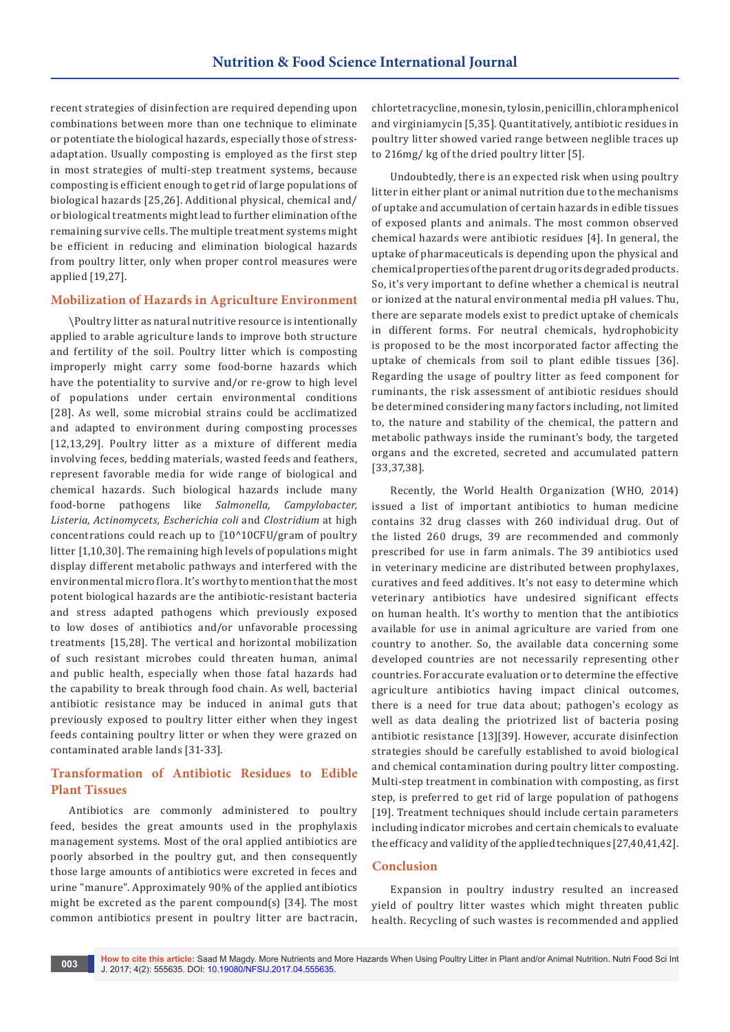recent strategies of disinfection are required depending upon combinations between more than one technique to eliminate or potentiate the biological hazards, especially those of stressadaptation. Usually composting is employed as the first step in most strategies of multi-step treatment systems, because composting is efficient enough to get rid of large populations of biological hazards [25,26]. Additional physical, chemical and/ or biological treatments might lead to further elimination of the remaining survive cells. The multiple treatment systems might be efficient in reducing and elimination biological hazards from poultry litter, only when proper control measures were applied [19,27].

### **Mobilization of Hazards in Agriculture Environment**

\Poultry litter as natural nutritive resource is intentionally applied to arable agriculture lands to improve both structure and fertility of the soil. Poultry litter which is composting improperly might carry some food-borne hazards which have the potentiality to survive and/or re-grow to high level of populations under certain environmental conditions [28]. As well, some microbial strains could be acclimatized and adapted to environment during composting processes [12,13,29]. Poultry litter as a mixture of different media involving feces, bedding materials, wasted feeds and feathers, represent favorable media for wide range of biological and chemical hazards. Such biological hazards include many food-borne pathogens like *Salmonella, Campylobacter, Listeria, Actinomycets, Escherichia coli* and *Clostridium* at high concentrations could reach up to [10^10CFU/gram of poultry litter [1,10,30]. The remaining high levels of populations might display different metabolic pathways and interfered with the environmental micro flora. It's worthy to mention that the most potent biological hazards are the antibiotic-resistant bacteria and stress adapted pathogens which previously exposed to low doses of antibiotics and/or unfavorable processing treatments [15,28]. The vertical and horizontal mobilization of such resistant microbes could threaten human, animal and public health, especially when those fatal hazards had the capability to break through food chain. As well, bacterial antibiotic resistance may be induced in animal guts that previously exposed to poultry litter either when they ingest feeds containing poultry litter or when they were grazed on contaminated arable lands [31-33].

# **Transformation of Antibiotic Residues to Edible Plant Tissues**

Antibiotics are commonly administered to poultry feed, besides the great amounts used in the prophylaxis management systems. Most of the oral applied antibiotics are poorly absorbed in the poultry gut, and then consequently those large amounts of antibiotics were excreted in feces and urine "manure". Approximately 90% of the applied antibiotics might be excreted as the parent compound(s) [34]. The most common antibiotics present in poultry litter are bactracin,

chlortetracycline, monesin, tylosin, penicillin, chloramphenicol and virginiamycin [5,35]. Quantitatively, antibiotic residues in poultry litter showed varied range between neglible traces up to 216mg/ kg of the dried poultry litter [5].

Undoubtedly, there is an expected risk when using poultry litter in either plant or animal nutrition due to the mechanisms of uptake and accumulation of certain hazards in edible tissues of exposed plants and animals. The most common observed chemical hazards were antibiotic residues [4]. In general, the uptake of pharmaceuticals is depending upon the physical and chemical properties of the parent drug or its degraded products. So, it's very important to define whether a chemical is neutral or ionized at the natural environmental media pH values. Thu, there are separate models exist to predict uptake of chemicals in different forms. For neutral chemicals, hydrophobicity is proposed to be the most incorporated factor affecting the uptake of chemicals from soil to plant edible tissues [36]. Regarding the usage of poultry litter as feed component for ruminants, the risk assessment of antibiotic residues should be determined considering many factors including, not limited to, the nature and stability of the chemical, the pattern and metabolic pathways inside the ruminant's body, the targeted organs and the excreted, secreted and accumulated pattern [33,37,38].

Recently, the World Health Organization (WHO, 2014) issued a list of important antibiotics to human medicine contains 32 drug classes with 260 individual drug. Out of the listed 260 drugs, 39 are recommended and commonly prescribed for use in farm animals. The 39 antibiotics used in veterinary medicine are distributed between prophylaxes, curatives and feed additives. It's not easy to determine which veterinary antibiotics have undesired significant effects on human health. It's worthy to mention that the antibiotics available for use in animal agriculture are varied from one country to another. So, the available data concerning some developed countries are not necessarily representing other countries. For accurate evaluation or to determine the effective agriculture antibiotics having impact clinical outcomes, there is a need for true data about; pathogen's ecology as well as data dealing the priotrized list of bacteria posing antibiotic resistance [13][39]. However, accurate disinfection strategies should be carefully established to avoid biological and chemical contamination during poultry litter composting. Multi-step treatment in combination with composting, as first step, is preferred to get rid of large population of pathogens [19]. Treatment techniques should include certain parameters including indicator microbes and certain chemicals to evaluate the efficacy and validity of the applied techniques [27,40,41,42].

#### **Conclusion**

Expansion in poultry industry resulted an increased yield of poultry litter wastes which might threaten public health. Recycling of such wastes is recommended and applied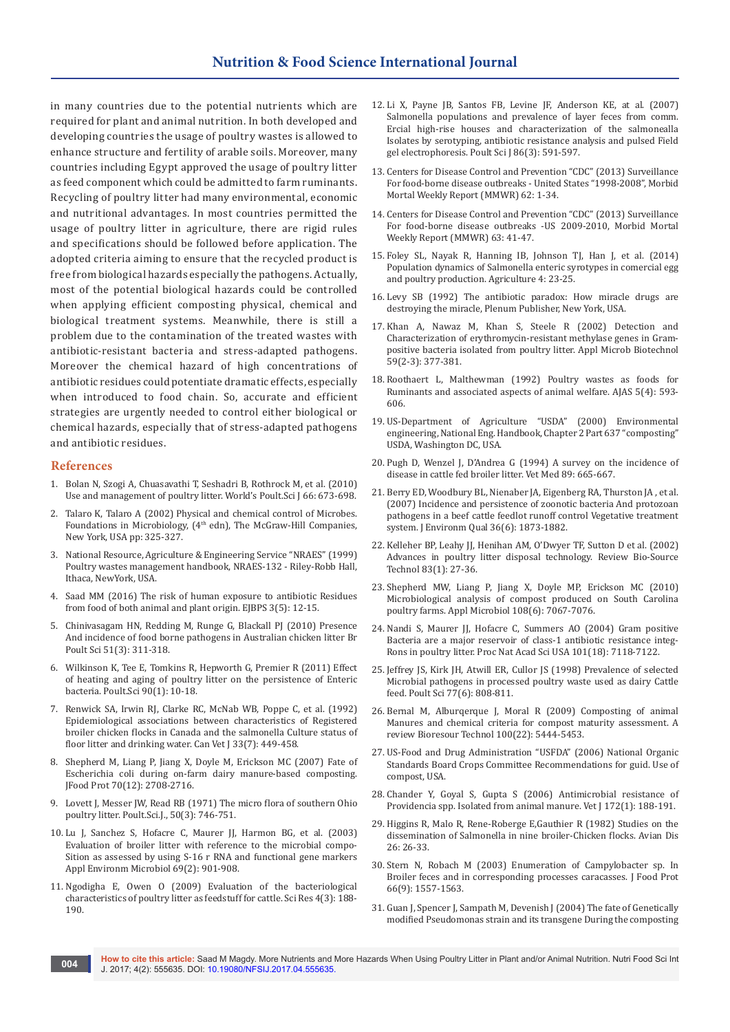in many countries due to the potential nutrients which are required for plant and animal nutrition. In both developed and developing countries the usage of poultry wastes is allowed to enhance structure and fertility of arable soils. Moreover, many countries including Egypt approved the usage of poultry litter as feed component which could be admitted to farm ruminants. Recycling of poultry litter had many environmental, economic and nutritional advantages. In most countries permitted the usage of poultry litter in agriculture, there are rigid rules and specifications should be followed before application. The adopted criteria aiming to ensure that the recycled product is free from biological hazards especially the pathogens. Actually, most of the potential biological hazards could be controlled when applying efficient composting physical, chemical and biological treatment systems. Meanwhile, there is still a problem due to the contamination of the treated wastes with antibiotic-resistant bacteria and stress-adapted pathogens. Moreover the chemical hazard of high concentrations of antibiotic residues could potentiate dramatic effects, especially when introduced to food chain. So, accurate and efficient strategies are urgently needed to control either biological or chemical hazards, especially that of stress-adapted pathogens and antibiotic residues.

#### **References**

- 1. [Bolan N, Szogi A, Chuasavathi T, Seshadri B, Rothrock M, et al. \(2010\)](https://naldc.nal.usda.gov/download/48603/PDF)  [Use and management of poultry litter. World's Poult.Sci J 66: 673-698.](https://naldc.nal.usda.gov/download/48603/PDF)
- 2. Talaro K, Talaro A (2002) Physical and chemical control of Microbes. Foundations in Microbiology, (4<sup>th</sup> edn), The McGraw-Hill Companies, New York, USA pp: 325-327.
- 3. National Resource, Agriculture & Engineering Service "NRAES" (1999) Poultry wastes management handbook, NRAES-132 - Riley-Robb Hall, Ithaca, NewYork, USA.
- 4. Saad MM (2016) The risk of human exposure to antibiotic Residues from food of both animal and plant origin. EJBPS 3(5): 12-15.
- 5. [Chinivasagam HN, Redding M, Runge G, Blackall PJ \(2010\) Presence](https://www.ncbi.nlm.nih.gov/pubmed/20680865)  [And incidence of food borne pathogens in Australian chicken litter Br](https://www.ncbi.nlm.nih.gov/pubmed/20680865)  [Poult Sci 51\(3\): 311-318.](https://www.ncbi.nlm.nih.gov/pubmed/20680865)
- 6. [Wilkinson K, Tee E, Tomkins R, Hepworth G, Premier R \(2011\) Effect](https://www.ncbi.nlm.nih.gov/pubmed/21177438)  [of heating and aging of poultry litter on the persistence of Enteric](https://www.ncbi.nlm.nih.gov/pubmed/21177438)  [bacteria. Poult.Sci 90\(1\): 10-18.](https://www.ncbi.nlm.nih.gov/pubmed/21177438)
- 7. [Renwick SA, Irwin RJ, Clarke RC, McNab WB, Poppe C, et al. \(1992\)](https://www.ncbi.nlm.nih.gov/pubmed/17424037)  [Epidemiological associations between characteristics of Registered](https://www.ncbi.nlm.nih.gov/pubmed/17424037)  [broiler chicken flocks in Canada and the salmonella Culture status of](https://www.ncbi.nlm.nih.gov/pubmed/17424037)  [floor litter and drinking water. Can Vet J 33\(7\): 449-458.](https://www.ncbi.nlm.nih.gov/pubmed/17424037)
- 8. [Shepherd M, Liang P, Jiang X, Doyle M, Erickson MC \(2007\) Fate of](https://www.ncbi.nlm.nih.gov/pubmed/18095421)  [Escherichia coli during on-farm dairy manure-based composting.](https://www.ncbi.nlm.nih.gov/pubmed/18095421)  [JFood Prot 70\(12\): 2708-2716.](https://www.ncbi.nlm.nih.gov/pubmed/18095421)
- 9. [Lovett J, Messer JW, Read RB \(1971\) The micro flora of southern Ohio](https://www.ncbi.nlm.nih.gov/pubmed/5106131)  [poultry litter. Poult.Sci.J., 50\(3\): 746-751.](https://www.ncbi.nlm.nih.gov/pubmed/5106131)
- 10. [Lu J, Sanchez S, Hofacre C, Maurer JJ, Harmon BG, et al. \(2003\)](https://www.ncbi.nlm.nih.gov/pubmed/12571010)  [Evaluation of broiler litter with reference to the microbial compo-](https://www.ncbi.nlm.nih.gov/pubmed/12571010)[Sition as assessed by using S-16 r RNA and functional gene markers](https://www.ncbi.nlm.nih.gov/pubmed/12571010)  [Appl Environm Microbiol 69\(2\): 901-908.](https://www.ncbi.nlm.nih.gov/pubmed/12571010)
- 11. [Ngodigha E, Owen O \(2009\) Evaluation of the bacteriological](http://www.academicjournals.org/article/article1380791322_Ngodigha%20and%20Owen%20Pdf.pdf)  [characteristics of poultry litter as feedstuff for cattle. Sci Res 4\(3\): 188-](http://www.academicjournals.org/article/article1380791322_Ngodigha%20and%20Owen%20Pdf.pdf) [190.](http://www.academicjournals.org/article/article1380791322_Ngodigha%20and%20Owen%20Pdf.pdf)
- 12. [Li X, Payne JB, Santos FB, Levine JF, Anderson KE, at al. \(2007\)](https://www.ncbi.nlm.nih.gov/pubmed/17297173)  [Salmonella populations and prevalence of layer feces from comm.](https://www.ncbi.nlm.nih.gov/pubmed/17297173) [Ercial high-rise houses and characterization of the salmonealla](https://www.ncbi.nlm.nih.gov/pubmed/17297173)  [Isolates by serotyping, antibiotic resistance analysis and pulsed Field](https://www.ncbi.nlm.nih.gov/pubmed/17297173)  [gel electrophoresis. Poult Sci J 86\(3\): 591-597.](https://www.ncbi.nlm.nih.gov/pubmed/17297173)
- 13. Centers for Disease Control and Prevention "CDC" (2013) Surveillance For food-borne disease outbreaks - United States "1998-2008", Morbid Mortal Weekly Report (MMWR) 62: 1-34.
- 14. Centers for Disease Control and Prevention "CDC" (2013) Surveillance For food-borne disease outbreaks -US 2009-2010, Morbid Mortal Weekly Report (MMWR) 63: 41-47.
- 15. Foley SL, Nayak R, Hanning IB, Johnson TJ, Han J, et al. (2014) Population dynamics of Salmonella enteric syrotypes in comercial egg and poultry production. Agriculture 4: 23-25.
- 16. Levy SB (1992) The antibiotic paradox: How miracle drugs are destroying the miracle, Plenum Publisher, New York, USA.
- 17. [Khan A, Nawaz M, Khan S, Steele R \(2002\) Detection and](https://www.ncbi.nlm.nih.gov/pubmed/12111173)  [Characterization of erythromycin-resistant methylase genes in Gram](https://www.ncbi.nlm.nih.gov/pubmed/12111173)[positive bacteria isolated from poultry litter. Appl Microb Biotechnol](https://www.ncbi.nlm.nih.gov/pubmed/12111173)  [59\(2-3\): 377-381.](https://www.ncbi.nlm.nih.gov/pubmed/12111173)
- 18. [Roothaert L, Malthewman \(1992\) Poultry wastes as foods for](https://www.ajas.info/journal/view.php?number=18742)  [Ruminants and associated aspects of animal welfare. AJAS 5\(4\): 593-](https://www.ajas.info/journal/view.php?number=18742) [606.](https://www.ajas.info/journal/view.php?number=18742)
- 19. US-Department of Agriculture "USDA" (2000) Environmental engineering, National Eng. Handbook, Chapter 2 Part 637 "composting" USDA, Washington DC, USA.
- 20. Pugh D, Wenzel J, D'Andrea G (1994) A survey on the incidence of disease in cattle fed broiler litter. Vet Med 89: 665-667.
- 21. [Berry ED, Woodbury BL, Nienaber JA, Eigenberg RA, Thurston JA , et al.](https://www.ncbi.nlm.nih.gov/pubmed/17965390)  [\(2007\) Incidence and persistence of zoonotic bacteria And protozoan](https://www.ncbi.nlm.nih.gov/pubmed/17965390)  [pathogens in a beef cattle feedlot runoff control Vegetative treatment](https://www.ncbi.nlm.nih.gov/pubmed/17965390)  [system. J Environm Qual 36\(6\): 1873-1882.](https://www.ncbi.nlm.nih.gov/pubmed/17965390)
- 22. [Kelleher BP, Leahy JJ, Henihan AM, O'Dwyer TF, Sutton D et al. \(2002\)](https://www.ncbi.nlm.nih.gov/pubmed/12058828)  [Advances in poultry litter disposal technology. Review Bio-Source](https://www.ncbi.nlm.nih.gov/pubmed/12058828)  [Technol 83\(1\): 27-36.](https://www.ncbi.nlm.nih.gov/pubmed/12058828)
- 23. [Shepherd MW, Liang P, Jiang X, Doyle MP, Erickson MC \(2010\)](https://www.ncbi.nlm.nih.gov/pubmed/19922596)  [Microbiological analysis of compost produced on South Carolina](https://www.ncbi.nlm.nih.gov/pubmed/19922596)  [poultry farms. Appl Microbiol 108\(6\): 7067-7076.](https://www.ncbi.nlm.nih.gov/pubmed/19922596)
- 24. [Nandi S, Maurer JJ, Hofacre C, Summers AO \(2004\) Gram positive](https://www.ncbi.nlm.nih.gov/pubmed/15107498)  [Bacteria are a major reservoir of class-1 antibiotic resistance integ-](https://www.ncbi.nlm.nih.gov/pubmed/15107498)[Rons in poultry litter. Proc Nat Acad Sci USA 101\(18\): 7118-7122.](https://www.ncbi.nlm.nih.gov/pubmed/15107498)
- 25. [Jeffrey JS, Kirk JH, Atwill ER, Cullor JS \(1998\) Prevalence of selected](https://www.ncbi.nlm.nih.gov/pubmed/9628527)  [Microbial pathogens in processed poultry waste used as dairy Cattle](https://www.ncbi.nlm.nih.gov/pubmed/9628527)  [feed. Poult Sci 77\(6\): 808-811.](https://www.ncbi.nlm.nih.gov/pubmed/9628527)
- 26. [Bernal M, Alburqerque J, Moral R \(2009\) Composting of animal](https://www.ncbi.nlm.nih.gov/pubmed/19119002)  [Manures and chemical criteria for compost maturity assessment. A](https://www.ncbi.nlm.nih.gov/pubmed/19119002)  [review Bioresour Technol 100\(22\): 5444-5453.](https://www.ncbi.nlm.nih.gov/pubmed/19119002)
- 27. US-Food and Drug Administration "USFDA" (2006) National Organic Standards Board Crops Committee Recommendations for guid. Use of compost, USA.
- 28. [Chander Y, Goyal S, Gupta S \(2006\) Antimicrobial resistance of](https://www.ncbi.nlm.nih.gov/pubmed/16772147)  [Providencia spp. Isolated from animal manure. Vet J 172\(1\): 188-191.](https://www.ncbi.nlm.nih.gov/pubmed/16772147)
- 29. [Higgins R, Malo R, Rene-Roberge E,Gauthier R \(1982\) Studies on the](https://www.ncbi.nlm.nih.gov/m/pubmed/7092743/)  [dissemination of Salmonella in nine broiler-Chicken flocks. Avian Dis](https://www.ncbi.nlm.nih.gov/m/pubmed/7092743/)  [26: 26-33.](https://www.ncbi.nlm.nih.gov/m/pubmed/7092743/)
- 30. [Stern N, Robach M \(2003\) Enumeration of Campylobacter sp. In](http://jfoodprotection.org/doi/pdf/10.4315/0362-028X-66.9.1557?code=fopr-site)  [Broiler feces and in corresponding processes caracasses. J Food Prot](http://jfoodprotection.org/doi/pdf/10.4315/0362-028X-66.9.1557?code=fopr-site)  [66\(9\): 1557-1563.](http://jfoodprotection.org/doi/pdf/10.4315/0362-028X-66.9.1557?code=fopr-site)
- 31. [Guan J, Spencer J, Sampath M, Devenish J \(2004\) The fate of Genetically](https://www.ncbi.nlm.nih.gov/pubmed/15284887)  [modified Pseudomonas strain and its transgene During the composting](https://www.ncbi.nlm.nih.gov/pubmed/15284887)